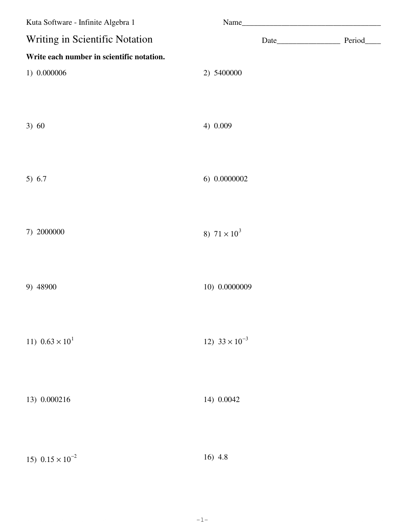| Kuta Software - Infinite Algebra 1        |                         |  |
|-------------------------------------------|-------------------------|--|
| Writing in Scientific Notation            |                         |  |
| Write each number in scientific notation. |                         |  |
| 1) 0.000006                               | 2) 5400000              |  |
|                                           |                         |  |
|                                           |                         |  |
| 3) 60                                     | 4) 0.009                |  |
|                                           |                         |  |
|                                           |                         |  |
| 5) 6.7                                    | 6) 0.0000002            |  |
|                                           |                         |  |
| 7) 2000000                                | 8) $71 \times 10^3$     |  |
|                                           |                         |  |
|                                           |                         |  |
| 9) 48900                                  | 10) 0.0000009           |  |
|                                           |                         |  |
|                                           |                         |  |
| 11) $0.63 \times 10^1$                    | 12) $33 \times 10^{-3}$ |  |
|                                           |                         |  |
|                                           |                         |  |
| 13) 0.000216                              | 14) 0.0042              |  |
|                                           |                         |  |
|                                           |                         |  |
| 15) $0.15 \times 10^{-2}$                 | 16) 4.8                 |  |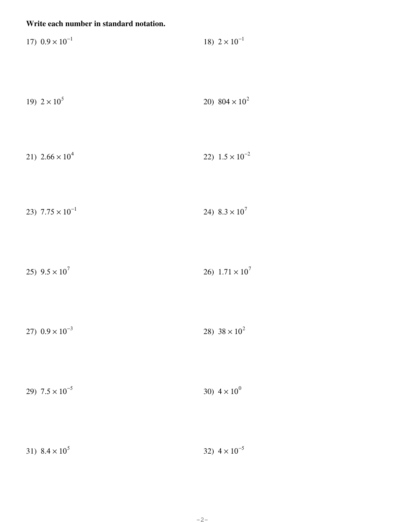## Write each number in standard notation.

| 17) $0.9 \times 10^{-1}$ | 18) $2 \times 10^{-1}$ |  |
|--------------------------|------------------------|--|
|                          |                        |  |

| 20) $804 \times 10^2$ |
|-----------------------|
|                       |

$$
21) \quad 2.66 \times 10^4 \tag{22} \quad 1.5 \times 10^{-2}
$$

$$
23)\ \ 7.75 \times 10^{-1} \tag{24}\ \ 8.3 \times 10^{7}
$$

25)  $9.5 \times 10^7$ 26)  $1.71 \times 10^7$ 

27)  $0.9 \times 10^{-3}$ 28)  $38 \times 10^2$ 

| 29) $7.5 \times 10^{-5}$ | 30) $4 \times 10^{0}$ |
|--------------------------|-----------------------|
|--------------------------|-----------------------|

| 31) $8.4 \times 10^5$<br>32) $4 \times 10^{-5}$ |
|-------------------------------------------------|
|-------------------------------------------------|

 $-2-$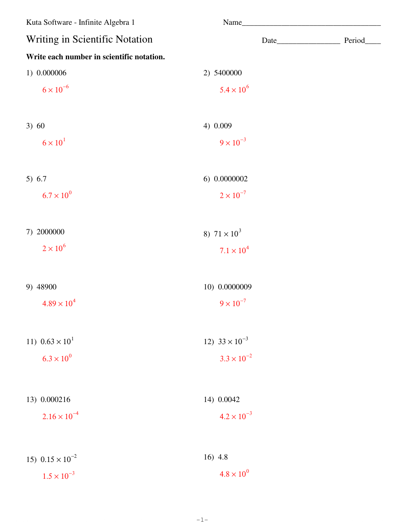| Kuta Software - Infinite Algebra 1        | Name                    |  |
|-------------------------------------------|-------------------------|--|
| Writing in Scientific Notation            |                         |  |
| Write each number in scientific notation. |                         |  |
| 1) 0.000006                               | 2) 5400000              |  |
| $6 \times 10^{-6}$                        | $5.4 \times 10^{6}$     |  |
| 3) 60                                     | 4) 0.009                |  |
| $6 \times 10^{1}$                         | $9 \times 10^{-3}$      |  |
| 5) $6.7$                                  | 6) 0.0000002            |  |
| $6.7 \times 10^{0}$                       | $2 \times 10^{-7}$      |  |
| 7) 2000000                                | 8) $71 \times 10^3$     |  |
| $2 \times 10^6$                           | $7.1 \times 10^{4}$     |  |
| 9) 48900                                  | 10) 0.0000009           |  |
| $4.89 \times 10^{4}$                      | $9 \times 10^{-7}$      |  |
| 11) $0.63 \times 10^1$                    | 12) $33 \times 10^{-3}$ |  |
| $6.3 \times 10^{0}$                       | $3.3 \times 10^{-2}$    |  |
| 13) 0.000216                              | 14) 0.0042              |  |
| $2.16 \times 10^{-4}$                     | $4.2 \times 10^{-3}$    |  |
|                                           |                         |  |
| 15) $0.15 \times 10^{-2}$                 | 16) 4.8                 |  |
| $1.5 \times 10^{-3}$                      | $4.8 \times 10^{0}$     |  |

 $-1-$